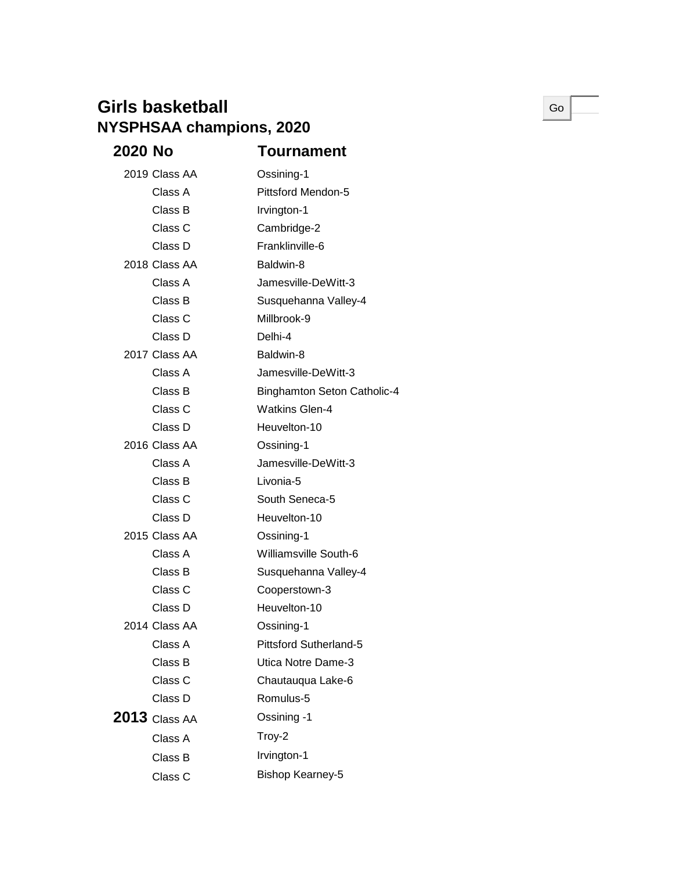## **Girls basketball NYSPHSAA champions, 2020**

| 2020 No |                 | Tournament                         |
|---------|-----------------|------------------------------------|
|         | 2019 Class AA   | Ossining-1                         |
|         | Class A         | <b>Pittsford Mendon-5</b>          |
|         | Class B         | Irvington-1                        |
|         | Class C         | Cambridge-2                        |
|         | Class D         | Franklinville-6                    |
|         | 2018 Class AA   | Baldwin-8                          |
|         | Class A         | Jamesville-DeWitt-3                |
|         | Class B         | Susquehanna Valley-4               |
|         | Class C         | Millbrook-9                        |
|         | Class D         | Delhi-4                            |
|         | 2017 Class AA   | Baldwin-8                          |
|         | Class A         | Jamesville-DeWitt-3                |
|         | Class B         | <b>Binghamton Seton Catholic-4</b> |
|         | Class C         | <b>Watkins Glen-4</b>              |
|         | Class D         | Heuvelton-10                       |
|         | 2016 Class AA   | Ossining-1                         |
|         | Class A         | Jamesville-DeWitt-3                |
|         | Class B         | Livonia-5                          |
|         | Class C         | South Seneca-5                     |
|         | Class D         | Heuvelton-10                       |
|         | 2015 Class AA   | Ossining-1                         |
|         | Class A         | Williamsville South-6              |
|         | Class B         | Susquehanna Valley-4               |
|         | Class C         | Cooperstown-3                      |
|         | Class D         | Heuvelton-10                       |
|         | 2014 Class AA   | Ossining-1                         |
|         | Class A         | <b>Pittsford Sutherland-5</b>      |
|         | Class B         | Utica Notre Dame-3                 |
|         | Class C         | Chautauqua Lake-6                  |
|         | Class D         | Romulus-5                          |
|         | $2013$ Class AA | Ossining -1                        |
|         | Class A         | Troy-2                             |
|         | Class B         | Irvington-1                        |
|         | Class C         | <b>Bishop Kearney-5</b>            |
|         |                 |                                    |

Go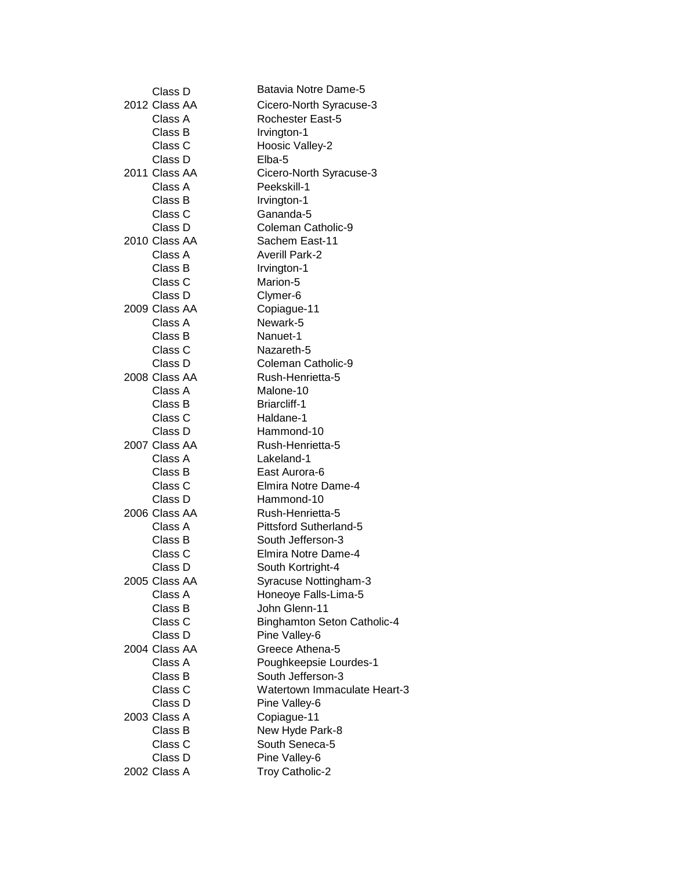| Class D       | Batavia Notre Dame-5                |
|---------------|-------------------------------------|
| 2012 Class AA | Cicero-North Syracuse-3             |
| Class A       | Rochester East-5                    |
| Class B       | Irvington-1                         |
| Class C       | Hoosic Valley-2                     |
| Class D       | Elba-5                              |
| 2011 Class AA | Cicero-North Syracuse-3             |
| Class A       | Peekskill-1                         |
| Class B       | Irvington-1                         |
| Class C       | Gananda-5                           |
| Class D       | Coleman Catholic-9                  |
| 2010 Class AA | Sachem East-11                      |
| Class A       | <b>Averill Park-2</b>               |
| Class B       | Irvington-1                         |
| Class C       | Marion-5                            |
| Class D       | Clymer-6                            |
| 2009 Class AA | Copiague-11                         |
| Class A       | Newark-5                            |
| Class B       | Nanuet-1                            |
| Class C       | Nazareth-5                          |
| Class D       | Coleman Catholic-9                  |
| 2008 Class AA | Rush-Henrietta-5                    |
| Class A       | Malone-10                           |
| Class B       | <b>Briarcliff-1</b>                 |
| Class C       | Haldane-1                           |
| Class D       | Hammond-10                          |
| 2007 Class AA | Rush-Henrietta-5                    |
| Class A       | Lakeland-1                          |
| Class B       | East Aurora-6                       |
| Class C       | Elmira Notre Dame-4                 |
| Class D       | Hammond-10                          |
| 2006 Class AA | Rush-Henrietta-5                    |
| Class A       | <b>Pittsford Sutherland-5</b>       |
| Class B       | South Jefferson-3                   |
| Class C       | Elmira Notre Dame-4                 |
| Class D       | South Kortright-4                   |
| 2005 Class AA | Syracuse Nottingham-3               |
| Class A       | Honeoye Falls-Lima-5                |
| Class B       | John Glenn-11                       |
| Class C       | <b>Binghamton Seton Catholic-4</b>  |
| Class D       | Pine Valley-6                       |
| 2004 Class AA | Greece Athena-5                     |
| Class A       | Poughkeepsie Lourdes-1              |
| Class B       | South Jefferson-3                   |
| Class C       | <b>Watertown Immaculate Heart-3</b> |
| Class D       | Pine Valley-6                       |
| 2003 Class A  | Copiague-11                         |
| Class B       | New Hyde Park-8                     |
| Class C       | South Seneca-5                      |
| Class D       | Pine Valley-6                       |
| 2002 Class A  | Troy Catholic-2                     |
|               |                                     |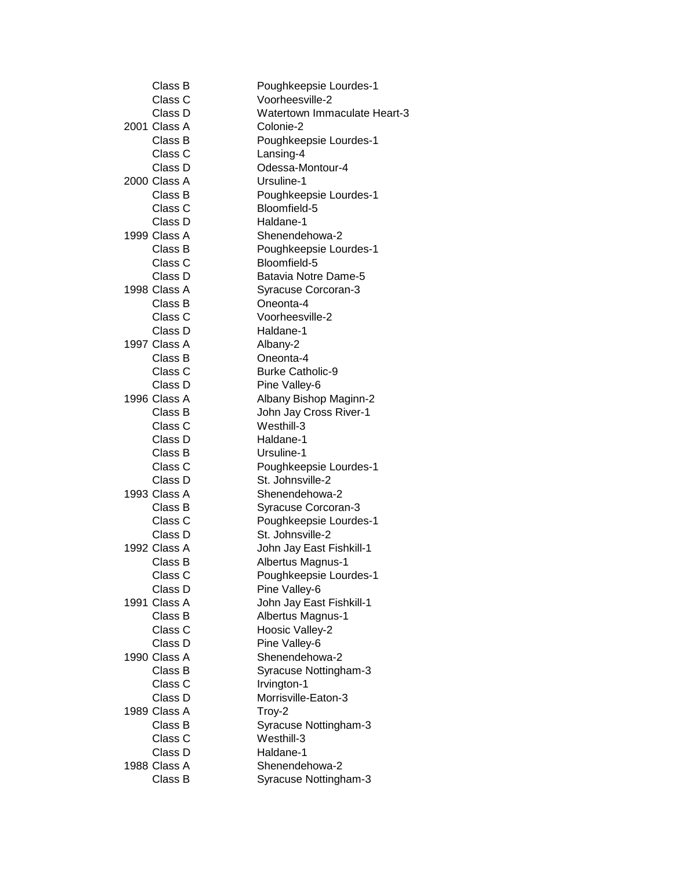| Class B      | Poughkeepsie Lourdes-1       |
|--------------|------------------------------|
| Class C      | Voorheesville-2              |
| Class D      | Watertown Immaculate Heart-3 |
| 2001 Class A | Colonie-2                    |
| Class B      | Poughkeepsie Lourdes-1       |
| Class C      | Lansing-4                    |
| Class D      | Odessa-Montour-4             |
| 2000 Class A | Ursuline-1                   |
| Class B      | Poughkeepsie Lourdes-1       |
| Class C      | Bloomfield-5                 |
| Class D      | Haldane-1                    |
| 1999 Class A | Shenendehowa-2               |
| Class B      | Poughkeepsie Lourdes-1       |
| Class C      | Bloomfield-5                 |
| Class D      | Batavia Notre Dame-5         |
| 1998 Class A | Syracuse Corcoran-3          |
| Class B      | Oneonta-4                    |
| Class C      | Voorheesville-2              |
| Class D      | Haldane-1                    |
| 1997 Class A | Albany-2                     |
| Class B      | Oneonta-4                    |
| Class C      | <b>Burke Catholic-9</b>      |
| Class D      | Pine Valley-6                |
| 1996 Class A | Albany Bishop Maginn-2       |
| Class B      | John Jay Cross River-1       |
| Class C      | Westhill-3                   |
| Class D      | Haldane-1                    |
| Class B      | Ursuline-1                   |
| Class C      | Poughkeepsie Lourdes-1       |
| Class D      | St. Johnsville-2             |
| 1993 Class A | Shenendehowa-2               |
| Class B      | Syracuse Corcoran-3          |
| Class C      | Poughkeepsie Lourdes-1       |
| Class D      | St. Johnsville-2             |
| 1992 Class A | John Jay East Fishkill-1     |
| Class B      | Albertus Magnus-1            |
| Class C      | Poughkeepsie Lourdes-1       |
| Class D      | Pine Valley-6                |
| 1991 Class A | John Jay East Fishkill-1     |
| Class B      | Albertus Magnus-1            |
| Class C      | Hoosic Valley-2              |
| Class D      | Pine Valley-6                |
| 1990 Class A | Shenendehowa-2               |
| Class B      | Syracuse Nottingham-3        |
| Class C      | Irvington-1                  |
| Class D      | Morrisville-Eaton-3          |
| 1989 Class A | Troy-2                       |
| Class B      | Syracuse Nottingham-3        |
| Class C      | Westhill-3                   |
| Class D      | Haldane-1                    |
| 1988 Class A | Shenendehowa-2               |
| Class B      | Syracuse Nottingham-3        |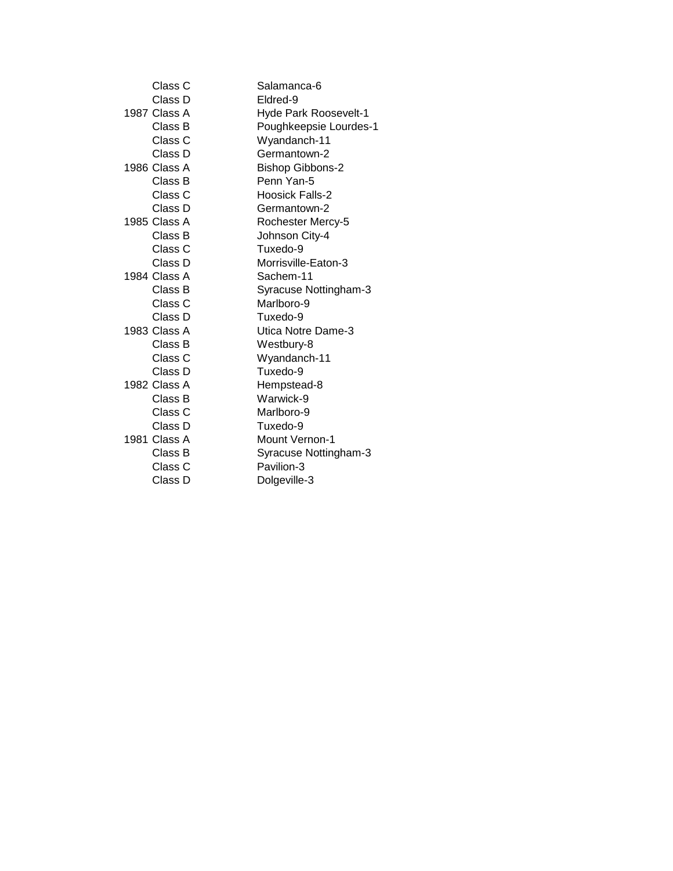| Class C      | Salamanca-6             |
|--------------|-------------------------|
| Class D      | Eldred-9                |
| 1987 Class A | Hyde Park Roosevelt-1   |
| Class B      | Poughkeepsie Lourdes-1  |
| Class C      | Wyandanch-11            |
| Class D      | Germantown-2            |
| 1986 Class A | <b>Bishop Gibbons-2</b> |
| Class B      | Penn Yan-5              |
| Class C      | <b>Hoosick Falls-2</b>  |
| Class D      | Germantown-2            |
| 1985 Class A | Rochester Mercy-5       |
| Class B      | Johnson City-4          |
| Class C      | Tuxedo-9                |
| Class D      | Morrisville-Eaton-3     |
| 1984 Class A | Sachem-11               |
| Class B      | Syracuse Nottingham-3   |
| Class C      | Marlboro-9              |
| Class D      | Tuxedo-9                |
| 1983 Class A | Utica Notre Dame-3      |
| Class B      | Westbury-8              |
| Class C      | Wyandanch-11            |
| Class D      | Tuxedo-9                |
| 1982 Class A | Hempstead-8             |
| Class B      | Warwick-9               |
| Class C      | Marlboro-9              |
| Class D      | Tuxedo-9                |
| 1981 Class A | <b>Mount Vernon-1</b>   |
| Class B      | Syracuse Nottingham-3   |
| Class C      | Pavilion-3              |
| Class D      | Dolgeville-3            |